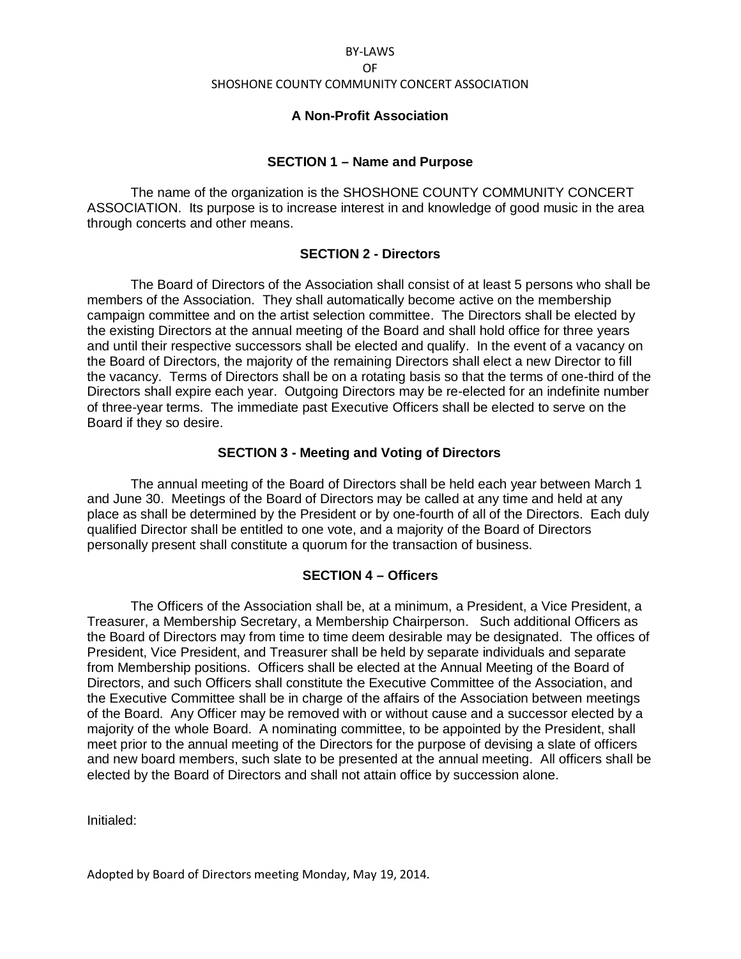### BYLAWS

#### OF

### SHOSHONE COUNTY COMMUNITY CONCERT ASSOCIATION

## **A Non-Profit Association**

# **SECTION 1 – Name and Purpose**

 The name of the organization is the SHOSHONE COUNTY COMMUNITY CONCERT ASSOCIATION. Its purpose is to increase interest in and knowledge of good music in the area through concerts and other means.

# **SECTION 2 - Directors**

 The Board of Directors of the Association shall consist of at least 5 persons who shall be members of the Association. They shall automatically become active on the membership campaign committee and on the artist selection committee. The Directors shall be elected by the existing Directors at the annual meeting of the Board and shall hold office for three years and until their respective successors shall be elected and qualify. In the event of a vacancy on the Board of Directors, the majority of the remaining Directors shall elect a new Director to fill the vacancy. Terms of Directors shall be on a rotating basis so that the terms of one-third of the Directors shall expire each year. Outgoing Directors may be re-elected for an indefinite number of three-year terms. The immediate past Executive Officers shall be elected to serve on the Board if they so desire.

# **SECTION 3 - Meeting and Voting of Directors**

The annual meeting of the Board of Directors shall be held each year between March 1 and June 30. Meetings of the Board of Directors may be called at any time and held at any place as shall be determined by the President or by one-fourth of all of the Directors. Each duly qualified Director shall be entitled to one vote, and a majority of the Board of Directors personally present shall constitute a quorum for the transaction of business.

## **SECTION 4 – Officers**

The Officers of the Association shall be, at a minimum, a President, a Vice President, a Treasurer, a Membership Secretary, a Membership Chairperson. Such additional Officers as the Board of Directors may from time to time deem desirable may be designated. The offices of President, Vice President, and Treasurer shall be held by separate individuals and separate from Membership positions. Officers shall be elected at the Annual Meeting of the Board of Directors, and such Officers shall constitute the Executive Committee of the Association, and the Executive Committee shall be in charge of the affairs of the Association between meetings of the Board. Any Officer may be removed with or without cause and a successor elected by a majority of the whole Board. A nominating committee, to be appointed by the President, shall meet prior to the annual meeting of the Directors for the purpose of devising a slate of officers and new board members, such slate to be presented at the annual meeting. All officers shall be elected by the Board of Directors and shall not attain office by succession alone.

Initialed:

Adopted by Board of Directors meeting Monday, May 19, 2014.